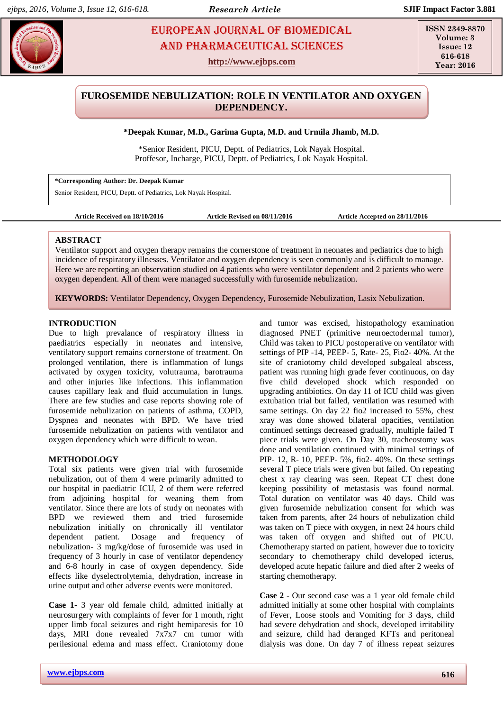# **Depay EUROPEAN JOURNAL OF BIOMEDICAL AND SCIENCES** AND Pharmaceutical sciences

**http://www.ejbps.com**

**ISSN 2349-8870 Volume: 3 Issue: 12 616-618 Year: 2016**

# **FUROSEMIDE NEBULIZATION: ROLE IN VENTILATOR AND OXYGEN DEPENDENCY.**

## **\*Deepak Kumar, M.D., Garima Gupta, M.D. and Urmila Jhamb, M.D.**

\*Senior Resident, PICU, Deptt. of Pediatrics, Lok Nayak Hospital. Proffesor, Incharge, PICU, Deptt. of Pediatrics, Lok Nayak Hospital.

**\*Corresponding Author: Dr. Deepak Kumar** Senior Resident, PICU, Deptt. of Pediatrics, Lok Nayak Hospital.

#### **Article Received on 18/10/2016 Article Revised on 08/11/2016 Article Accepted on 28/11/2016**

# **ABSTRACT**

Ventilator support and oxygen therapy remains the cornerstone of treatment in neonates and pediatrics due to high incidence of respiratory illnesses. Ventilator and oxygen dependency is seen commonly and is difficult to manage. Here we are reporting an observation studied on 4 patients who were ventilator dependent and 2 patients who were oxygen dependent. All of them were managed successfully with furosemide nebulization.

**KEYWORDS:** Ventilator Dependency, Oxygen Dependency, Furosemide Nebulization, Lasix Nebulization.

### **INTRODUCTION**

Due to high prevalance of respiratory illness in paediatrics especially in neonates and intensive, ventilatory support remains cornerstone of treatment. On prolonged ventilation, there is inflammation of lungs activated by oxygen toxicity, volutrauma, barotrauma and other injuries like infections. This inflammation causes capillary leak and fluid accumulation in lungs. There are few studies and case reports showing role of furosemide nebulization on patients of asthma, COPD, Dyspnea and neonates with BPD. We have tried furosemide nebulization on patients with ventilator and oxygen dependency which were difficult to wean.

### **METHODOLOGY**

Total six patients were given trial with furosemide nebulization, out of them 4 were primarily admitted to our hospital in paediatric ICU, 2 of them were referred from adjoining hospital for weaning them from ventilator. Since there are lots of study on neonates with BPD we reviewed them and tried furosemide nebulization initially on chronically ill ventilator dependent patient. Dosage and frequency of nebulization- 3 mg/kg/dose of furosemide was used in frequency of 3 hourly in case of ventilator dependency and 6-8 hourly in case of oxygen dependency. Side effects like dyselectrolytemia, dehydration, increase in urine output and other adverse events were monitored.

**Case 1-** 3 year old female child, admitted initially at neurosurgery with complaints of fever for 1 month, right upper limb focal seizures and right hemiparesis for 10 days, MRI done revealed 7x7x7 cm tumor with perilesional edema and mass effect. Craniotomy done

and tumor was excised, histopathology examination diagnosed PNET (primitive neuroectodermal tumor), Child was taken to PICU postoperative on ventilator with settings of PIP -14, PEEP- 5, Rate- 25, Fio2- 40%. At the site of craniotomy child developed subgaleal abscess, patient was running high grade fever continuous, on day five child developed shock which responded on upgrading antibiotics. On day 11 of ICU child was given extubation trial but failed, ventilation was resumed with same settings. On day 22 fio2 increased to 55%, chest xray was done showed bilateral opacities, ventilation continued settings decreased gradually, multiple failed T piece trials were given. On Day 30, tracheostomy was done and ventilation continued with minimal settings of PIP- 12, R- 10, PEEP- 5%, fio2- 40%. On these settings several T piece trials were given but failed. On repeating chest x ray clearing was seen. Repeat CT chest done keeping possibility of metastasis was found normal. Total duration on ventilator was 40 days. Child was given furosemide nebulization consent for which was taken from parents, after 24 hours of nebulization child was taken on T piece with oxygen, in next 24 hours child was taken off oxygen and shifted out of PICU. Chemotherapy started on patient, however due to toxicity secondary to chemotherapy child developed icterus, developed acute hepatic failure and died after 2 weeks of starting chemotherapy.

**Case 2 -** Our second case was a 1 year old female child admitted initially at some other hospital with complaints of Fever, Loose stools and Vomiting for 3 days, child had severe dehydration and shock, developed irritability and seizure, child had deranged KFTs and peritoneal dialysis was done. On day 7 of illness repeat seizures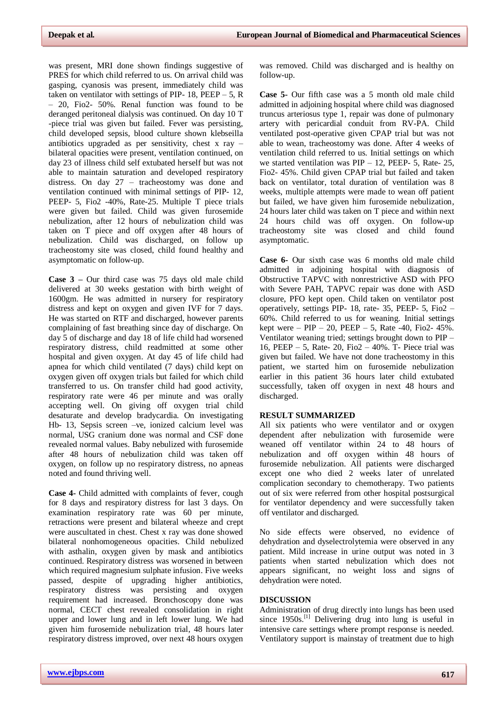was present, MRI done shown findings suggestive of PRES for which child referred to us. On arrival child was gasping, cyanosis was present, immediately child was taken on ventilator with settings of PIP- 18, PEEP  $-5$ , R – 20, Fio2- 50%. Renal function was found to be deranged peritoneal dialysis was continued. On day 10 T -piece trial was given but failed. Fever was persisting, child developed sepsis, blood culture shown klebseilla antibiotics upgraded as per sensitivity, chest x ray – bilateral opacities were present, ventilation continued, on day 23 of illness child self extubated herself but was not able to maintain saturation and developed respiratory distress. On day 27 – tracheostomy was done and ventilation continued with minimal settings of PIP- 12, PEEP- 5, Fio2 -40%, Rate-25. Multiple T piece trials were given but failed. Child was given furosemide nebulization, after 12 hours of nebulization child was taken on T piece and off oxygen after 48 hours of nebulization. Child was discharged, on follow up tracheostomy site was closed, child found healthy and asymptomatic on follow-up.

**Case 3 –** Our third case was 75 days old male child delivered at 30 weeks gestation with birth weight of 1600gm. He was admitted in nursery for respiratory distress and kept on oxygen and given IVF for 7 days. He was started on RTF and discharged, however parents complaining of fast breathing since day of discharge. On day 5 of discharge and day 18 of life child had worsened respiratory distress, child readmitted at some other hospital and given oxygen. At day 45 of life child had apnea for which child ventilated (7 days) child kept on oxygen given off oxygen trials but failed for which child transferred to us. On transfer child had good activity, respiratory rate were 46 per minute and was orally accepting well. On giving off oxygen trial child desaturate and develop bradycardia. On investigating Hb- 13, Sepsis screen –ve, ionized calcium level was normal, USG cranium done was normal and CSF done revealed normal values. Baby nebulized with furosemide after 48 hours of nebulization child was taken off oxygen, on follow up no respiratory distress, no apneas noted and found thriving well.

**Case 4-** Child admitted with complaints of fever, cough for 8 days and respiratory distress for last 3 days. On examination respiratory rate was 60 per minute, retractions were present and bilateral wheeze and crept were auscultated in chest. Chest x ray was done showed bilateral nonhomogeneous opacities. Child nebulized with asthalin, oxygen given by mask and antibiotics continued. Respiratory distress was worsened in between which required magnesium sulphate infusion. Five weeks passed, despite of upgrading higher antibiotics, respiratory distress was persisting and oxygen requirement had increased. Bronchoscopy done was normal, CECT chest revealed consolidation in right upper and lower lung and in left lower lung. We had given him furosemide nebulization trial, 48 hours later respiratory distress improved, over next 48 hours oxygen

was removed. Child was discharged and is healthy on follow-up.

**Case 5-** Our fifth case was a 5 month old male child admitted in adjoining hospital where child was diagnosed truncus arteriosus type 1, repair was done of pulmonary artery with pericardial conduit from RV-PA. Child ventilated post-operative given CPAP trial but was not able to wean, tracheostomy was done. After 4 weeks of ventilation child referred to us. Initial settings on which we started ventilation was  $PIP - 12$ , PEEP- 5, Rate- 25, Fio2- 45%. Child given CPAP trial but failed and taken back on ventilator, total duration of ventilation was 8 weeks, multiple attempts were made to wean off patient but failed, we have given him furosemide nebulization, 24 hours later child was taken on T piece and within next 24 hours child was off oxygen. On follow-up tracheostomy site was closed and child found asymptomatic.

**Case 6-** Our sixth case was 6 months old male child admitted in adjoining hospital with diagnosis of Obstructive TAPVC with nonrestrictive ASD with PFO with Severe PAH, TAPVC repair was done with ASD closure, PFO kept open. Child taken on ventilator post operatively, settings PIP- 18, rate- 35, PEEP- 5, Fio2 – 60%. Child referred to us for weaning. Initial settings kept were – PIP – 20, PEEP – 5, Rate -40, Fio2-  $45\%$ . Ventilator weaning tried; settings brought down to PIP – 16, PEEP – 5, Rate- 20, Fio2 – 40%. T- Piece trial was given but failed. We have not done tracheostomy in this patient, we started him on furosemide nebulization earlier in this patient 36 hours later child extubated successfully, taken off oxygen in next 48 hours and discharged.

#### **RESULT SUMMARIZED**

All six patients who were ventilator and or oxygen dependent after nebulization with furosemide were weaned off ventilator within 24 to 48 hours of nebulization and off oxygen within 48 hours of furosemide nebulization. All patients were discharged except one who died 2 weeks later of unrelated complication secondary to chemotherapy. Two patients out of six were referred from other hospital postsurgical for ventilator dependency and were successfully taken off ventilator and discharged.

No side effects were observed, no evidence of dehydration and dyselectrolytemia were observed in any patient. Mild increase in urine output was noted in 3 patients when started nebulization which does not appears significant, no weight loss and signs of dehydration were noted.

### **DISCUSSION**

Administration of drug directly into lungs has been used since 1950s.<sup>[1]</sup> Delivering drug into lung is useful in intensive care settings where prompt response is needed. Ventilatory support is mainstay of treatment due to high